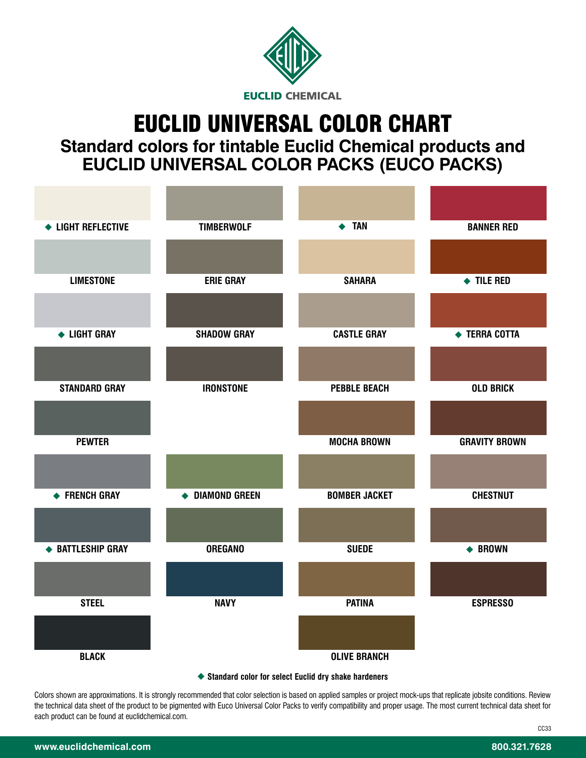

# EUCLID UNIVERSAL COLOR CHART

**Standard colors for tintable Euclid Chemical products and EUCLID UNIVERSAL COLOR PACKS (EUCO PACKS)** 

| ← LIGHT REFLECTIVE                                   | <b>TIMBERWOLF</b>  | $\leftrightarrow$ TAN | <b>BANNER RED</b>        |
|------------------------------------------------------|--------------------|-----------------------|--------------------------|
|                                                      |                    |                       |                          |
| <b>LIMESTONE</b>                                     | <b>ERIE GRAY</b>   | <b>SAHARA</b>         | $\blacklozenge$ TILE RED |
|                                                      |                    |                       |                          |
| ← LIGHT GRAY                                         | <b>SHADOW GRAY</b> | <b>CASTLE GRAY</b>    | ← TERRA COTTA            |
|                                                      |                    |                       |                          |
| <b>STANDARD GRAY</b>                                 | <b>IRONSTONE</b>   | <b>PEBBLE BEACH</b>   | <b>OLD BRICK</b>         |
|                                                      |                    |                       |                          |
| <b>PEWTER</b>                                        |                    | <b>MOCHA BROWN</b>    | <b>GRAVITY BROWN</b>     |
|                                                      |                    |                       |                          |
| ← FRENCH GRAY                                        | ◆ DIAMOND GREEN    | <b>BOMBER JACKET</b>  | <b>CHESTNUT</b>          |
|                                                      |                    |                       |                          |
| ◆ BATTLESHIP GRAY                                    | <b>OREGANO</b>     | <b>SUEDE</b>          | ← BROWN                  |
|                                                      |                    |                       |                          |
| <b>STEEL</b>                                         | <b>NAVY</b>        | <b>PATINA</b>         | <b>ESPRESSO</b>          |
|                                                      |                    |                       |                          |
| <b>BLACK</b>                                         |                    | <b>OLIVE BRANCH</b>   |                          |
| Standard color for select Euclid dry shake hardeners |                    |                       |                          |

Colors shown are approximations. It is strongly recommended that color selection is based on applied samples or project mock-ups that replicate jobsite conditions. Review the technical data sheet of the product to be pigmented with Euco Universal Color Packs to verify compatibility and proper usage. The most current technical data sheet for each product can be found at euclidchemical.com.